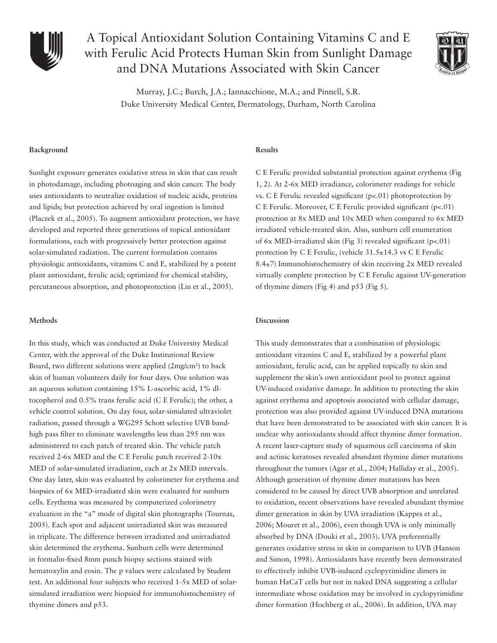

# A Topical Antioxidant Solution Containing Vitamins C and E with Ferulic Acid Protects Human Skin from Sunlight Damage and DNA Mutations Associated with Skin Cancer



Murray, J.C.; Burch, J.A.; Iannacchione, M.A.; and Pinnell, S.R. Duke University Medical Center, Dermatology, Durham, North Carolina

# **Background**

Sunlight exposure generates oxidative stress in skin that can result in photodamage, including photoaging and skin cancer. The body uses antioxidants to neutralize oxidation of nucleic acids, proteins and lipids; but protection achieved by oral ingestion is limited (Placzek et al., 2005). To augment antioxidant protection, we have developed and reported three generations of topical antioxidant formulations, each with progressively better protection against solar-simulated radiation. The current formulation contains physiologic antioxidants, vitamins C and E, stabilized by a potent plant antioxidant, ferulic acid; optimized for chemical stability, percutaneous absorption, and photoprotection (Lin et al., 2005).

# **Methods**

In this study, which was conducted at Duke University Medical Center, with the approval of the Duke Institutional Review Board, two different solutions were applied (2mg/cm<sup>2</sup>) to back skin of human volunteers daily for four days. One solution was an aqueous solution containing 15% L-ascorbic acid, 1% dltocopherol and 0.5% trans ferulic acid (C E Ferulic); the other, a vehicle control solution. On day four, solar-simulated ultraviolet radiation, passed through a WG295 Schott selective UVB bandhigh pass filter to eliminate wavelengths less than 295 nm was administered to each patch of treated skin. The vehicle patch received 2-6x MED and the C E Ferulic patch received 2-10x MED of solar-simulated irradiation, each at 2x MED intervals. One day later, skin was evaluated by colorimeter for erythema and biopsies of 6x MED-irradiated skin were evaluated for sunburn cells. Erythema was measured by computerized colorimetry evaluation in the "a" mode of digital skin photographs (Tournas, 2005). Each spot and adjacent unirradiated skin was measured in triplicate. The difference between irradiated and unirradiated skin determined the erythema. Sunburn cells were determined in formalin-fixed 8mm punch biopsy sections stained with hematoxylin and eosin. The p values were calculated by Student test. An additional four subjects who received 1-5x MED of solarsimulated irradiation were biopsied for immunohistochemistry of thymine dimers and p53.

# **Results**

C E Ferulic provided substantial protection against erythema (Fig 1, 2). At 2-6x MED irradiance, colorimeter readings for vehicle vs. C E Ferulic revealed significant  $(p<0.01)$  photoprotection by C E Ferulic. Moreover, C E Ferulic provided significant  $(p<0.01)$ protection at 8x MED and 10x MED when compared to 6x MED irradiated vehicle-treated skin. Also, sunburn cell enumeration of 6x MED-irradiated skin (Fig 3) revealed significant (p<.01) protection by C E Ferulic, (vehicle 31.5±14.3 vs C E Ferulic 8.4±7) Immunohistochemistry of skin receiving 2x MED revealed virtually complete protection by C E Ferulic against UV-generation of thymine dimers (Fig 4) and p53 (Fig 5).

# **Discussion**

This study demonstrates that a combination of physiologic antioxidant vitamins C and E, stabilized by a powerful plant antioxidant, ferulic acid, can be applied topically to skin and supplement the skin's own antioxidant pool to protect against UV-induced oxidative damage. In addition to protecting the skin against erythema and apoptosis associated with cellular damage, protection was also provided against UV-induced DNA mutations that have been demonstrated to be associated with skin cancer. It is unclear why antioxidants should affect thymine dimer formation. A recent laser-capture study of squamous cell carcinoma of skin and actinic keratoses revealed abundant thymine dimer mutations throughout the tumors (Agar et al., 2004; Halliday et al., 2005). Although generation of thymine dimer mutations has been considered to be caused by direct UVB absorption and unrelated to oxidation, recent observations have revealed abundant thymine dimer generation in skin by UVA irradiation (Kappes et al., 2006; Mouret et al., 2006), even though UVA is only minimally absorbed by DNA (Douki et al., 2003). UVA preferentially generates oxidative stress in skin in comparison to UVB (Hanson and Simon, 1998). Antioxidants have recently been demonstrated to effectively inhibit UVB-induced cyclopyrimidine dimers in human HaCaT cells but not in naked DNA suggesting a cellular intermediate whose oxidation may be involved in cyclopyrimidine dimer formation (Hochberg et al., 2006). In addition, UVA may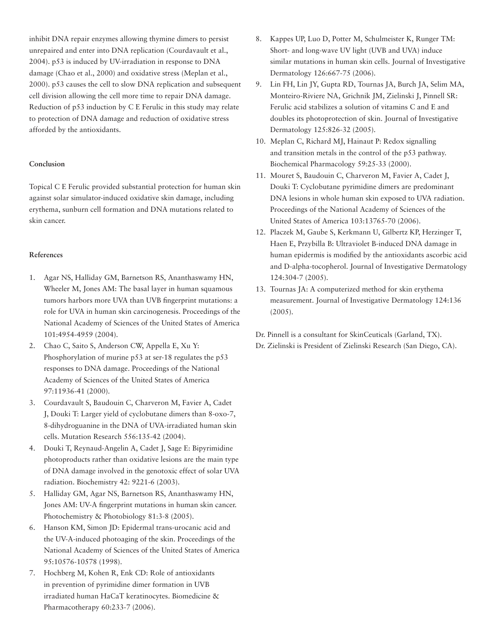inhibit DNA repair enzymes allowing thymine dimers to persist unrepaired and enter into DNA replication (Courdavault et al., 2004). p53 is induced by UV-irradiation in response to DNA damage (Chao et al., 2000) and oxidative stress (Meplan et al., 2000). p53 causes the cell to slow DNA replication and subsequent cell division allowing the cell more time to repair DNA damage. Reduction of p53 induction by C E Ferulic in this study may relate to protection of DNA damage and reduction of oxidative stress afforded by the antioxidants.

# **Conclusion**

Topical C E Ferulic provided substantial protection for human skin against solar simulator-induced oxidative skin damage, including erythema, sunburn cell formation and DNA mutations related to skin cancer.

# **References**

- 1. Agar NS, Halliday GM, Barnetson RS, Ananthaswamy HN, Wheeler M, Jones AM: The basal layer in human squamous tumors harbors more UVA than UVB fingerprint mutations: a role for UVA in human skin carcinogenesis. Proceedings of the National Academy of Sciences of the United States of America 101:4954-4959 (2004).
- 2. Chao C, Saito S, Anderson CW, Appella E, Xu Y: Phosphorylation of murine p53 at ser-18 regulates the p53 responses to DNA damage. Proceedings of the National Academy of Sciences of the United States of America 97:11936-41 (2000).
- 3. Courdavault S, Baudouin C, Charveron M, Favier A, Cadet J, Douki T: Larger yield of cyclobutane dimers than 8-oxo-7, 8-dihydroguanine in the DNA of UVA-irradiated human skin cells. Mutation Research 556:135-42 (2004).
- 4. Douki T, Reynaud-Angelin A, Cadet J, Sage E: Bipyrimidine photoproducts rather than oxidative lesions are the main type of DNA damage involved in the genotoxic effect of solar UVA radiation. Biochemistry 42: 9221-6 (2003).
- 5. Halliday GM, Agar NS, Barnetson RS, Ananthaswamy HN, Jones AM: UV-A fingerprint mutations in human skin cancer. Photochemistry & Photobiology 81:3-8 (2005).
- 6. Hanson KM, Simon JD: Epidermal trans-urocanic acid and the UV-A-induced photoaging of the skin. Proceedings of the National Academy of Sciences of the United States of America 95:10576-10578 (1998).
- 7. Hochberg M, Kohen R, Enk CD: Role of antioxidants in prevention of pyrimidine dimer formation in UVB irradiated human HaCaT keratinocytes. Biomedicine & Pharmacotherapy 60:233-7 (2006).
- 8. Kappes UP, Luo D, Potter M, Schulmeister K, Runger TM: Short- and long-wave UV light (UVB and UVA) induce similar mutations in human skin cells. Journal of Investigative Dermatology 126:667-75 (2006).
- 9. Lin FH, Lin JY, Gupta RD, Tournas JA, Burch JA, Selim MA, Monteiro-Riviere NA, Grichnik JM, Zielinski J, Pinnell SR: Ferulic acid stabilizes a solution of vitamins C and E and doubles its photoprotection of skin. Journal of Investigative Dermatology 125:826-32 (2005).
- 10. Meplan C, Richard MJ, Hainaut P: Redox signalling and transition metals in the control of the p53 pathway. Biochemical Pharmacology 59:25-33 (2000).
- 11. Mouret S, Baudouin C, Charveron M, Favier A, Cadet J, Douki T: Cyclobutane pyrimidine dimers are predominant DNA lesions in whole human skin exposed to UVA radiation. Proceedings of the National Academy of Sciences of the United States of America 103:13765-70 (2006).
- 12. Placzek M, Gaube S, Kerkmann U, Gilbertz KP, Herzinger T, Haen E, Przybilla B: Ultraviolet B-induced DNA damage in human epidermis is modified by the antioxidants ascorbic acid and D-alpha-tocopherol. Journal of Investigative Dermatology 124:304-7 (2005).
- 13. Tournas JA: A computerized method for skin erythema measurement. Journal of Investigative Dermatology 124:136 (2005).

Dr. Pinnell is a consultant for SkinCeuticals (Garland, TX). Dr. Zielinski is President of Zielinski Research (San Diego, CA).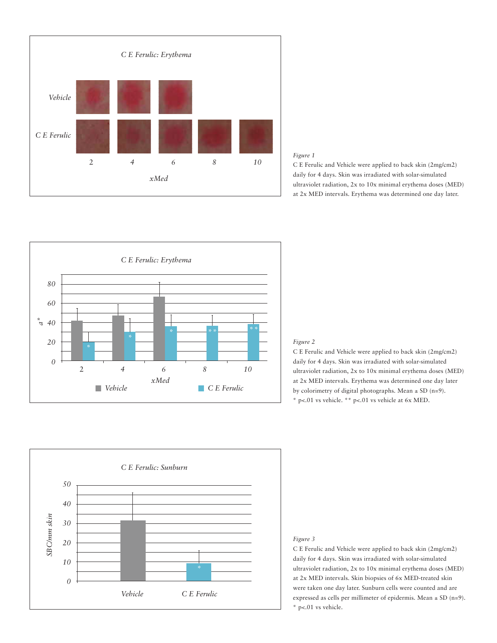



C E Ferulic and Vehicle were applied to back skin (2mg/cm2) daily for 4 days. Skin was irradiated with solar-simulated ultraviolet radiation, 2x to 10x minimal erythema doses (MED) at 2x MED intervals. Erythema was determined one day later.



### *Figure 2*

C E Ferulic and Vehicle were applied to back skin (2mg/cm2) daily for 4 days. Skin was irradiated with solar-simulated ultraviolet radiation, 2x to 10x minimal erythema doses (MED) at 2x MED intervals. Erythema was determined one day later by colorimetry of digital photographs. Mean  $\pm$  SD (n=9). \* p<.01 vs vehicle. \*\* p<.01 vs vehicle at 6x MED.



#### *Figure 3*

C E Ferulic and Vehicle were applied to back skin (2mg/cm2) daily for 4 days. Skin was irradiated with solar-simulated ultraviolet radiation, 2x to 10x minimal erythema doses (MED) at 2x MED intervals. Skin biopsies of 6x MED-treated skin were taken one day later. Sunburn cells were counted and are expressed as cells per millimeter of epidermis. Mean  $\pm$  SD (n=9). \* p<.01 vs vehicle.